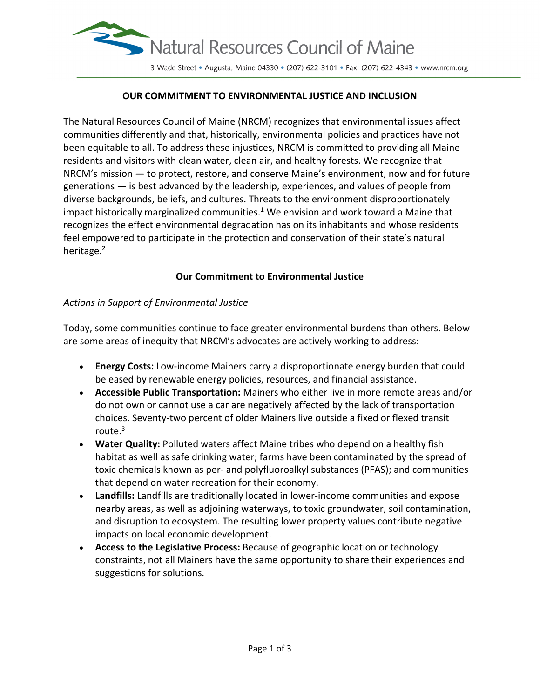

### **OUR COMMITMENT TO ENVIRONMENTAL JUSTICE AND INCLUSION**

The Natural Resources Council of Maine (NRCM) recognizes that environmental issues affect communities differently and that, historically, environmental policies and practices have not been equitable to all. To address these injustices, NRCM is committed to providing all Maine residents and visitors with clean water, clean air, and healthy forests. We recognize that NRCM's mission — to protect, restore, and conserve Maine's environment, now and for future generations — is best advanced by the leadership, experiences, and values of people from diverse backgrounds, beliefs, and cultures. Threats to the environment disproportionately impact historically marginalized communities. <sup>1</sup> We envision and work toward a Maine that recognizes the effect environmental degradation has on its inhabitants and whose residents feel empowered to participate in the protection and conservation of their state's natural heritage.<sup>2</sup>

### **Our Commitment to Environmental Justice**

### *Actions in Support of Environmental Justice*

Today, some communities continue to face greater environmental burdens than others. Below are some areas of inequity that NRCM's advocates are actively working to address:

- **Energy Costs:** Low-income Mainers carry a disproportionate energy burden that could be eased by renewable energy policies, resources, and financial assistance.
- **Accessible Public Transportation:** Mainers who either live in more remote areas and/or do not own or cannot use a car are negatively affected by the lack of transportation choices. Seventy-two percent of older Mainers live outside a fixed or flexed transit route. 3
- **Water Quality:** Polluted waters affect Maine tribes who depend on a healthy fish habitat as well as safe drinking water; farms have been contaminated by the spread of toxic chemicals known as per- and polyfluoroalkyl substances (PFAS); and communities that depend on water recreation for their economy.
- **Landfills:** Landfills are traditionally located in lower-income communities and expose nearby areas, as well as adjoining waterways, to toxic groundwater, soil contamination, and disruption to ecosystem. The resulting lower property values contribute negative impacts on local economic development.
- **Access to the Legislative Process:** Because of geographic location or technology constraints, not all Mainers have the same opportunity to share their experiences and suggestions for solutions.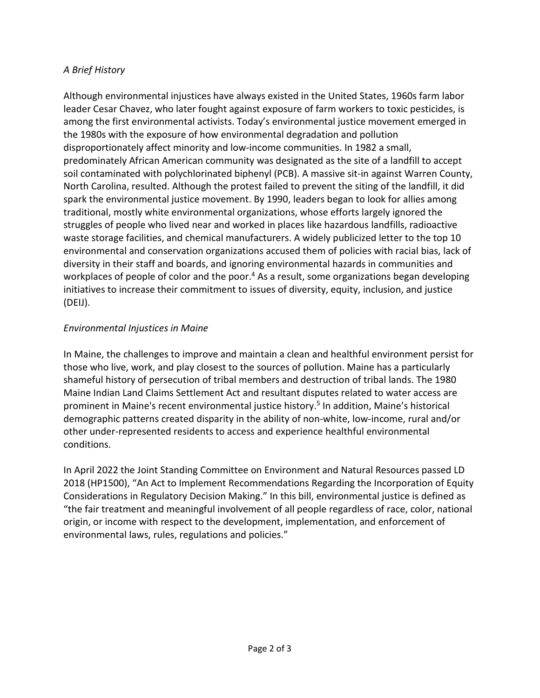# *A Brief History*

Although environmental injustices have always existed in the United States, 1960s farm labor leader Cesar Chavez, who later fought against exposure of farm workers to toxic pesticides, is among the first environmental activists. Today's environmental justice movement emerged in the 1980s with the exposure of how environmental degradation and pollution disproportionately affect minority and low-income communities. In 1982 a small, predominately African American community was designated as the site of a landfill to accept soil contaminated with polychlorinated biphenyl (PCB). A massive sit-in against Warren County, North Carolina, resulted. Although the protest failed to prevent the siting of the landfill, it did spark the environmental justice movement. By 1990, leaders began to look for allies among traditional, mostly white environmental organizations, whose efforts largely ignored the struggles of people who lived near and worked in places like hazardous landfills, radioactive waste storage facilities, and chemical manufacturers. A widely publicized letter to the top 10 environmental and conservation organizations accused them of policies with racial bias, lack of diversity in their staff and boards, and ignoring environmental hazards in communities and workplaces of people of color and the poor.<sup>4</sup> As a result, some organizations began developing initiatives to increase their commitment to issues of diversity, equity, inclusion, and justice (DEIJ).

## *Environmental Injustices in Maine*

In Maine, the challenges to improve and maintain a clean and healthful environment persist for those who live, work, and play closest to the sources of pollution. Maine has a particularly shameful history of persecution of tribal members and destruction of tribal lands. The 1980 Maine Indian Land Claims Settlement Act and resultant disputes related to water access are prominent in Maine's recent environmental justice history. <sup>5</sup> In addition, Maine's historical demographic patterns created disparity in the ability of non-white, low-income, rural and/or other under-represented residents to access and experience healthful environmental conditions.

In April 2022 the Joint Standing Committee on Environment and Natural Resources passed LD 2018 (HP1500), "An Act to Implement Recommendations Regarding the Incorporation of Equity Considerations in Regulatory Decision Making." In this bill, environmental justice is defined as "the fair treatment and meaningful involvement of all people regardless of race, color, national origin, or income with respect to the development, implementation, and enforcement of environmental laws, rules, regulations and policies."